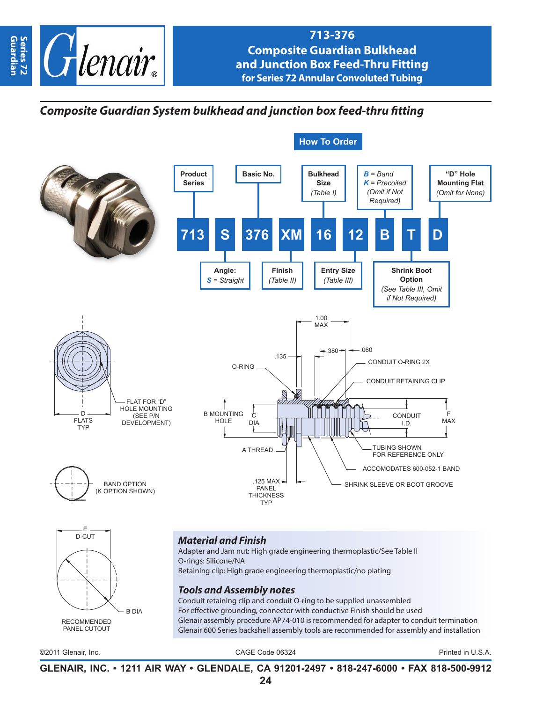

## **713-376 Composite Guardian Bulkhead and Junction Box Feed-Thru Fitting for Series 72 Annular Convoluted Tubing**

# *Composite Guardian System bulkhead and junction box feed-thru fitting*





#### *Material and Finish*

Adapter and Jam nut: High grade engineering thermoplastic/See Table II O-rings: Silicone/NA Retaining clip: High grade engineering thermoplastic/no plating

### *Tools and Assembly notes*

Conduit retaining clip and conduit O-ring to be supplied unassembled For effective grounding, connector with conductive Finish should be used Glenair assembly procedure AP74-010 is recommended for adapter to conduit termination Glenair 600 Series backshell assembly tools are recommended for assembly and installation

©2011 Glenair, Inc. CAGE Code 06324 Printed in U.S.A.

**GLENAIR, INC. • 1211 AIR WAY • GLENDALE, CA 91201-2497 • 818-247-6000 • FAX 818-500-9912**